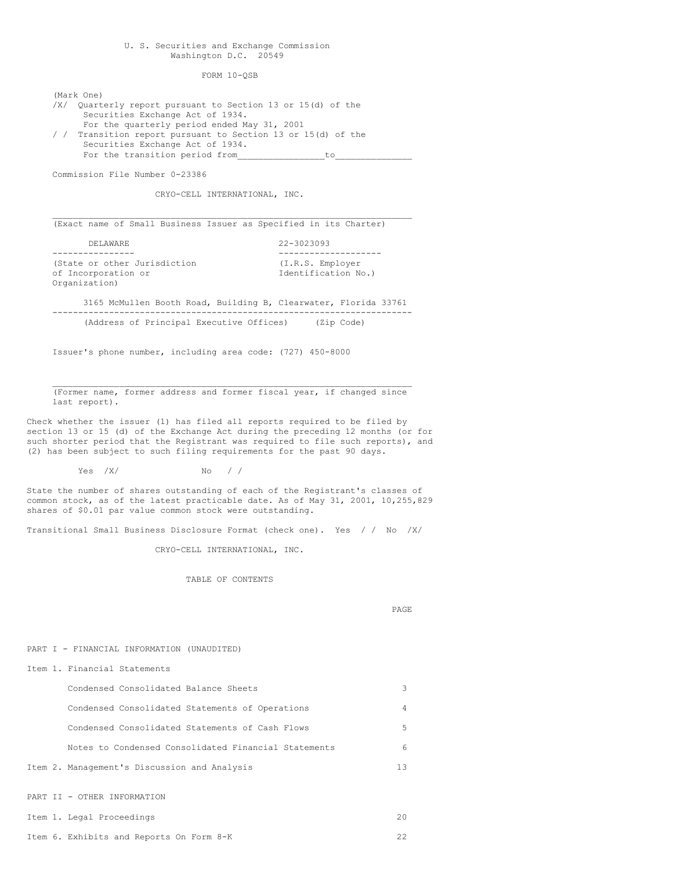## U. S. Securities and Exchange Commission Washington D.C. 20549

FORM 10-QSB

(Mark One) /X/ Quarterly report pursuant to Section 13 or 15(d) of the Securities Exchange Act of 1934. For the quarterly period ended May 31, 2001 / / Transition report pursuant to Section 13 or 15(d) of the Securities Exchange Act of 1934. For the transition period from\_\_\_\_\_\_\_\_\_\_\_\_\_\_\_\_\_to\_\_\_\_\_\_\_\_\_\_\_\_\_\_\_

Commission File Number 0-23386

CRYO-CELL INTERNATIONAL, INC.

 $\mathcal{L}_\mathcal{L} = \mathcal{L}_\mathcal{L} = \mathcal{L}_\mathcal{L} = \mathcal{L}_\mathcal{L} = \mathcal{L}_\mathcal{L} = \mathcal{L}_\mathcal{L} = \mathcal{L}_\mathcal{L} = \mathcal{L}_\mathcal{L} = \mathcal{L}_\mathcal{L} = \mathcal{L}_\mathcal{L} = \mathcal{L}_\mathcal{L} = \mathcal{L}_\mathcal{L} = \mathcal{L}_\mathcal{L} = \mathcal{L}_\mathcal{L} = \mathcal{L}_\mathcal{L} = \mathcal{L}_\mathcal{L} = \mathcal{L}_\mathcal{L}$ (Exact name of Small Business Issuer as Specified in its Charter)

| DELAWARE                                            | $22 - 3023093$                          |
|-----------------------------------------------------|-----------------------------------------|
|                                                     |                                         |
| (State or other Jurisdiction<br>of Incorporation or | (I.R.S. Employer<br>Identification No.) |
| Organization)                                       |                                         |
|                                                     |                                         |

3165 McMullen Booth Road, Building B, Clearwater, Florida 33761 ---------------------------------------------------------------------- (Address of Principal Executive Offices)

Issuer's phone number, including area code: (727) 450-8000

 $\mathcal{L}_\mathcal{L} = \mathcal{L}_\mathcal{L} = \mathcal{L}_\mathcal{L} = \mathcal{L}_\mathcal{L} = \mathcal{L}_\mathcal{L} = \mathcal{L}_\mathcal{L} = \mathcal{L}_\mathcal{L} = \mathcal{L}_\mathcal{L} = \mathcal{L}_\mathcal{L} = \mathcal{L}_\mathcal{L} = \mathcal{L}_\mathcal{L} = \mathcal{L}_\mathcal{L} = \mathcal{L}_\mathcal{L} = \mathcal{L}_\mathcal{L} = \mathcal{L}_\mathcal{L} = \mathcal{L}_\mathcal{L} = \mathcal{L}_\mathcal{L}$ (Former name, former address and former fiscal year, if changed since last report).

Check whether the issuer (1) has filed all reports required to be filed by section 13 or 15 (d) of the Exchange Act during the preceding 12 months (or for such shorter period that the Registrant was required to file such reports), and (2) has been subject to such filing requirements for the past 90 days.

 $Yes$  /X/  $No$  //

State the number of shares outstanding of each of the Registrant's classes of common stock, as of the latest practicable date. As of May 31, 2001, 10,255,829 shares of \$0.01 par value common stock were outstanding.

Transitional Small Business Disclosure Format (check one). Yes / / No /X/

CRYO-CELL INTERNATIONAL, INC.

TABLE OF CONTENTS

PAGE

PART I - FINANCIAL INFORMATION (UNAUDITED)

| Condensed Consolidated Balance Sheets                | 3  |
|------------------------------------------------------|----|
| Condensed Consolidated Statements of Operations      | 4  |
| Condensed Consolidated Statements of Cash Flows      | 5  |
| Notes to Condensed Consolidated Financial Statements | 6  |
| Item 2. Management's Discussion and Analysis         | 13 |
|                                                      |    |

PART II - OTHER INFORMATION

Item 1. Financial Statements

|  | Item 1. Legal Proceedings |  |
|--|---------------------------|--|
|  |                           |  |

Item 6. Exhibits and Reports On Form 8-K 22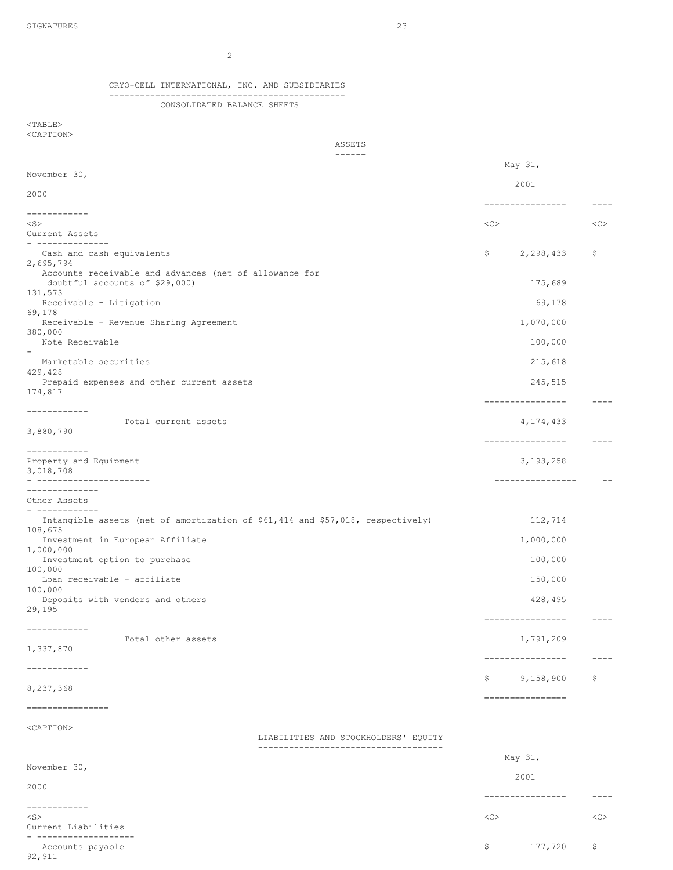CRYO-CELL INTERNATIONAL, INC. AND SUBSIDIARIES ----------------------------------------------

2

CONSOLIDATED BALANCE SHEETS

 $<sub>TABLE</sub>$ </sub> <CAPTION>

92,911

ASSETS

| $- - - - - -$                                                                  |         |                  |             |
|--------------------------------------------------------------------------------|---------|------------------|-------------|
| May 31,<br>November 30,                                                        |         |                  |             |
|                                                                                | 2001    |                  |             |
| 2000                                                                           |         | ---------------- | $---$       |
| ------------                                                                   |         |                  |             |
| $<$ S $>$                                                                      | <<      |                  | <<          |
| Current Assets<br>--------------                                               |         |                  |             |
| Cash and cash equivalents                                                      | \$      | 2,298,433        | \$.         |
| 2,695,794<br>Accounts receivable and advances (net of allowance for            |         |                  |             |
| doubtful accounts of \$29,000)                                                 |         | 175,689          |             |
| 131,573<br>Receivable - Litigation                                             |         |                  |             |
| 69,178                                                                         |         | 69,178           |             |
| Receivable - Revenue Sharing Agreement                                         |         | 1,070,000        |             |
| 380,000<br>Note Receivable                                                     |         | 100,000          |             |
|                                                                                |         |                  |             |
| Marketable securities<br>429,428                                               |         | 215,618          |             |
| Prepaid expenses and other current assets                                      |         | 245,515          |             |
| 174,817                                                                        |         |                  |             |
| ------------                                                                   |         | ---------------- | $- - - - -$ |
| Total current assets                                                           |         | 4,174,433        |             |
| 3,880,790                                                                      |         | ---------------- | $- - - - -$ |
| ____________                                                                   |         |                  |             |
| Property and Equipment<br>3,018,708                                            |         | 3, 193, 258      |             |
| -----------------------                                                        |         | ---------------- |             |
| --------------                                                                 |         |                  |             |
| Other Assets<br>-------------                                                  |         |                  |             |
| Intangible assets (net of amortization of \$61,414 and \$57,018, respectively) |         | 112,714          |             |
| 108,675<br>Investment in European Affiliate                                    |         | 1,000,000        |             |
| 1,000,000                                                                      |         |                  |             |
| Investment option to purchase<br>100,000                                       |         | 100,000          |             |
| Loan receivable - affiliate                                                    |         | 150,000          |             |
| 100,000                                                                        |         |                  |             |
| Deposits with vendors and others<br>29,195                                     |         | 428,495          |             |
|                                                                                |         | ---------------- | $- - - - -$ |
| ------------<br>Total other assets                                             |         | 1,791,209        |             |
| 1,337,870                                                                      |         |                  |             |
| ------------                                                                   |         | --------------   | $---$       |
|                                                                                | \$      | 9,158,900        | \$          |
| 8,237,368                                                                      |         | ---------------- |             |
| ----------------                                                               |         |                  |             |
|                                                                                |         |                  |             |
| <caption><br/>LIABILITIES AND STOCKHOLDERS' EQUITY</caption>                   |         |                  |             |
| ----------------------------                                                   |         |                  |             |
| November 30,                                                                   | May 31, |                  |             |
|                                                                                | 2001    |                  |             |
| 2000                                                                           |         | --------------   | $---$       |
| ------------                                                                   |         |                  |             |
| $<$ S $>$<br>Current Liabilities                                               | <<      |                  | <<          |
|                                                                                |         |                  |             |
| Accounts payable                                                               | \$      | 177,720          | \$          |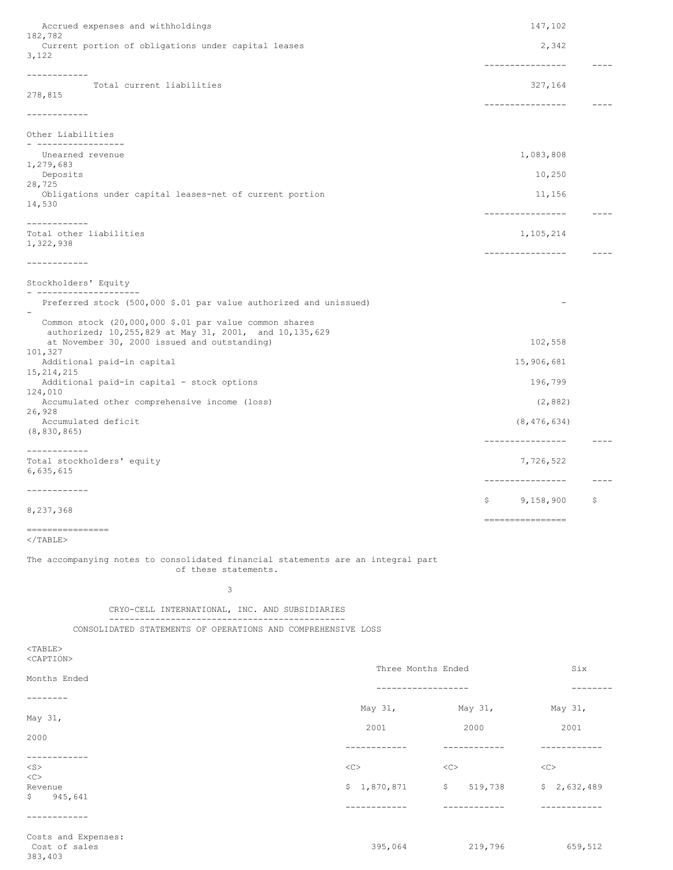| Accrued expenses and withholdings                                                                                             |                    | 147,102                 |                                         |               |
|-------------------------------------------------------------------------------------------------------------------------------|--------------------|-------------------------|-----------------------------------------|---------------|
| 182,782<br>Current portion of obligations under capital leases<br>3,122                                                       |                    |                         | 2,342                                   |               |
| ------------                                                                                                                  |                    |                         | ----------------                        | $- - - - -$   |
| Total current liabilities<br>278,815                                                                                          |                    |                         | 327,164<br>----------------             |               |
| ------------                                                                                                                  |                    |                         |                                         |               |
| Other Liabilities<br>------------------                                                                                       |                    |                         |                                         |               |
| Unearned revenue                                                                                                              |                    |                         | 1,083,808                               |               |
| 1,279,683<br>Deposits                                                                                                         |                    |                         | 10,250                                  |               |
| 28,725<br>Obligations under capital leases-net of current portion                                                             |                    |                         | 11,156                                  |               |
| 14,530                                                                                                                        |                    |                         | ----------------                        | $- - - - -$   |
| ------------<br>Total other liabilities                                                                                       |                    |                         | 1,105,214                               |               |
| 1,322,938                                                                                                                     |                    |                         | ----------------                        | $\frac{1}{2}$ |
| ------------                                                                                                                  |                    |                         |                                         |               |
| Stockholders' Equity                                                                                                          |                    |                         |                                         |               |
| Preferred stock (500,000 \$.01 par value authorized and unissued)                                                             |                    |                         |                                         |               |
| Common stock (20,000,000 \$.01 par value common shares                                                                        |                    |                         |                                         |               |
| authorized; 10,255,829 at May 31, 2001, and 10,135,629<br>at November 30, 2000 issued and outstanding)                        |                    |                         | 102,558                                 |               |
| 101,327<br>Additional paid-in capital                                                                                         |                    |                         | 15,906,681                              |               |
| 15, 214, 215<br>Additional paid-in capital - stock options                                                                    |                    |                         | 196,799                                 |               |
| 124,010<br>Accumulated other comprehensive income (loss)                                                                      |                    |                         | (2, 882)                                |               |
| 26,928<br>Accumulated deficit                                                                                                 |                    |                         | (8, 476, 634)                           |               |
| (8, 830, 865)                                                                                                                 |                    |                         | ----------------                        |               |
| ____________<br>Total stockholders' equity                                                                                    |                    |                         | 7,726,522                               |               |
| 6,635,615                                                                                                                     |                    |                         | ----------------                        |               |
| ------------                                                                                                                  |                    |                         |                                         |               |
| 8,237,368                                                                                                                     |                    |                         | \$9,158,900                             | \$            |
| ================                                                                                                              |                    |                         | ================                        |               |
| $\langle$ /TABLE><br>The accompanying notes to consolidated financial statements are an integral part<br>of these statements. |                    |                         |                                         |               |
| 3                                                                                                                             |                    |                         |                                         |               |
| CRYO-CELL INTERNATIONAL, INC. AND SUBSIDIARIES                                                                                |                    |                         |                                         |               |
| ------------------------------<br>CONSOLIDATED STATEMENTS OF OPERATIONS AND COMPREHENSIVE LOSS                                |                    |                         |                                         |               |
|                                                                                                                               |                    |                         |                                         |               |
| $<$ TABLE $>$<br><caption></caption>                                                                                          |                    |                         |                                         |               |
| Months Ended                                                                                                                  | Three Months Ended |                         | Six                                     |               |
| --------                                                                                                                      | ------------------ |                         |                                         | --------      |
| May 31,                                                                                                                       |                    |                         | May 31, May 31, May 31,<br>2000<br>2001 |               |
| 2000                                                                                                                          | 2001               |                         |                                         |               |
| ------------                                                                                                                  |                    |                         | ------------                            |               |
| $<$ S $>$<br><<>                                                                                                              | <<                 | < <c></c>               | $<<$ C $>$                              |               |
| Revenue<br>\$.<br>945,641                                                                                                     |                    | $$1,870,871$ $$519,738$ | \$2,632,489<br>------------             |               |
| ------------                                                                                                                  | -----------        | ------------            |                                         |               |

Costs and Expenses: 383,403

395,064 219,796 659,512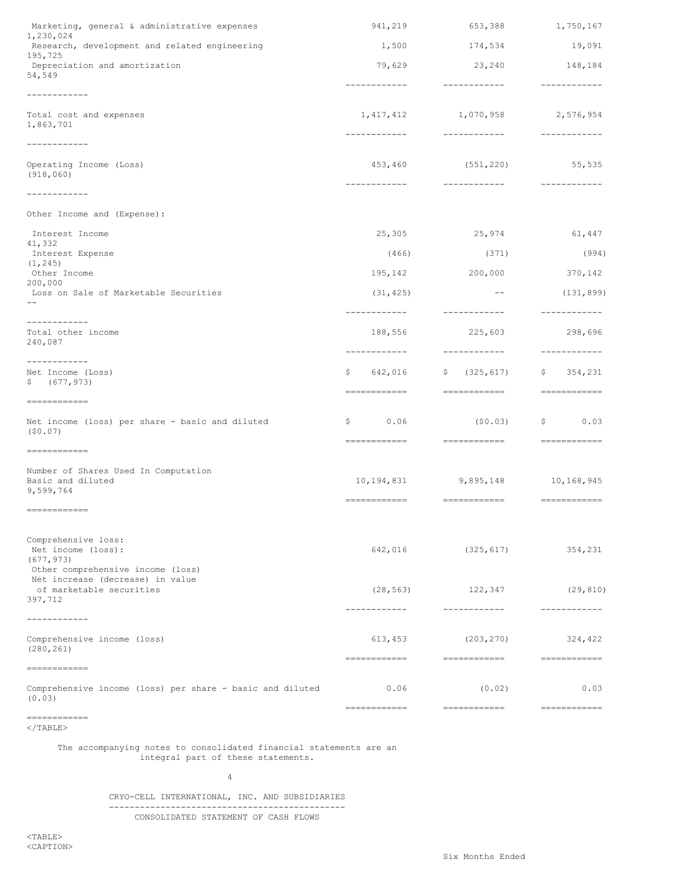| Marketing, general & administrative expenses                                                                 | 941,219                       | 653,388                                                                                                                                                                                                                                                                                                                                                                                                                                                                              | 1,750,167                  |
|--------------------------------------------------------------------------------------------------------------|-------------------------------|--------------------------------------------------------------------------------------------------------------------------------------------------------------------------------------------------------------------------------------------------------------------------------------------------------------------------------------------------------------------------------------------------------------------------------------------------------------------------------------|----------------------------|
| 1,230,024<br>Research, development and related engineering<br>195,725                                        | 1,500                         | 19,091                                                                                                                                                                                                                                                                                                                                                                                                                                                                               |                            |
| Depreciation and amortization<br>54,549                                                                      | 79,629                        | 23,240                                                                                                                                                                                                                                                                                                                                                                                                                                                                               | 148,184                    |
| ------------                                                                                                 | ------------                  | -------------                                                                                                                                                                                                                                                                                                                                                                                                                                                                        | ------------               |
| Total cost and expenses<br>1,863,701                                                                         | 1, 417, 412<br>------------   | 1,070,958<br>-------------                                                                                                                                                                                                                                                                                                                                                                                                                                                           | 2,576,954<br>------------- |
| ------------                                                                                                 |                               |                                                                                                                                                                                                                                                                                                                                                                                                                                                                                      |                            |
| Operating Income (Loss)<br>(918, 060)                                                                        | 453,460                       | (551, 220)<br>-------------                                                                                                                                                                                                                                                                                                                                                                                                                                                          | 55,535<br>_____________    |
| ------------<br>Other Income and (Expense):                                                                  |                               |                                                                                                                                                                                                                                                                                                                                                                                                                                                                                      |                            |
| Interest Income                                                                                              | 25,305                        | 25,974                                                                                                                                                                                                                                                                                                                                                                                                                                                                               | 61,447                     |
| 41,332<br>Interest Expense                                                                                   | (466)                         | (371)                                                                                                                                                                                                                                                                                                                                                                                                                                                                                | (994)                      |
| (1, 245)<br>Other Income                                                                                     |                               |                                                                                                                                                                                                                                                                                                                                                                                                                                                                                      |                            |
| 200,000                                                                                                      | 195,142                       | 200,000                                                                                                                                                                                                                                                                                                                                                                                                                                                                              | 370,142                    |
| Loss on Sale of Marketable Securities                                                                        | (31, 425)<br>------------     | $--$<br>-------------                                                                                                                                                                                                                                                                                                                                                                                                                                                                | (131, 899)<br>------------ |
| ------------<br>Total other income<br>240,087                                                                | 188,556<br>------------       | 225,603<br>-------------                                                                                                                                                                                                                                                                                                                                                                                                                                                             | 298,696<br>------------    |
| ------------<br>Net Income (Loss)<br>\$ (677, 973)                                                           | 642,016<br>Ş.<br>============ | (325, 617)<br>\$<br>============                                                                                                                                                                                                                                                                                                                                                                                                                                                     | \$354,231<br>============  |
| ============<br>Net income (loss) per share - basic and diluted<br>(50.07)                                   | 0.06<br>Ş.                    | (50.03)                                                                                                                                                                                                                                                                                                                                                                                                                                                                              | \$0.03                     |
| ------------                                                                                                 | ============                  | =============                                                                                                                                                                                                                                                                                                                                                                                                                                                                        | <b>CONSIDERED</b>          |
| Number of Shares Used In Computation<br>Basic and diluted<br>9,599,764                                       |                               | 10, 194, 831 9, 895, 148 10, 168, 945                                                                                                                                                                                                                                                                                                                                                                                                                                                |                            |
| ============                                                                                                 | =============                 | <b>CONSECTED AND RELEASE</b>                                                                                                                                                                                                                                                                                                                                                                                                                                                         | <b>CONSIDERED</b>          |
| Comprehensive loss:<br>Net income (loss):<br>(677, 973)                                                      | 642,016                       | (325, 617)                                                                                                                                                                                                                                                                                                                                                                                                                                                                           | 354,231                    |
| Other comprehensive income (loss)<br>Net increase (decrease) in value<br>of marketable securities<br>397,712 | (28, 563)<br>-------------    | 122,347<br>------------                                                                                                                                                                                                                                                                                                                                                                                                                                                              | (29, 810)<br>------------  |
| ------------<br>Comprehensive income (loss)<br>(280, 261)                                                    | 613,453                       | (203, 270)                                                                                                                                                                                                                                                                                                                                                                                                                                                                           | 324,422                    |
| ============<br>Comprehensive income (loss) per share - basic and diluted                                    | ============<br>0.06          | <b>COORDEDIES</b><br>(0.02)                                                                                                                                                                                                                                                                                                                                                                                                                                                          | <b>COOCCOOCCOO</b><br>0.03 |
| (0.03)<br>============                                                                                       | ============                  | $\begin{minipage}{0.9\linewidth} \begin{tabular}{l} \multicolumn{2}{c}{\textbf{C}} \multicolumn{2}{c}{\textbf{C}} \multicolumn{2}{c}{\textbf{C}} \multicolumn{2}{c}{\textbf{C}} \multicolumn{2}{c}{\textbf{D}} \multicolumn{2}{c}{\textbf{D}} \multicolumn{2}{c}{\textbf{D}} \multicolumn{2}{c}{\textbf{D}} \multicolumn{2}{c}{\textbf{D}} \multicolumn{2}{c}{\textbf{D}} \multicolumn{2}{c}{\textbf{D}} \multicolumn{2}{c}{\textbf{D}} \multicolumn{2}{c}{\textbf{D}} \multicolumn$ | ============               |

 $<$ /TABLE>

The accompanying notes to consolidated financial statements are an integral part of these statements.

4

# CRYO-CELL INTERNATIONAL, INC. AND SUBSIDIARIES ---------------------------------------------- CONSOLIDATED STATEMENT OF CASH FLOWS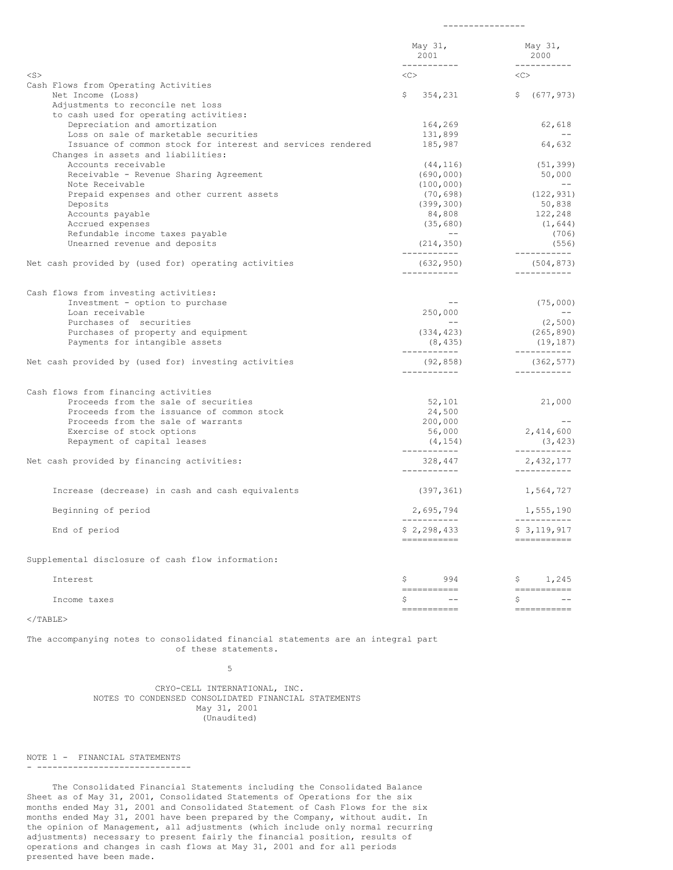|                                                                         | May 31,<br>2001<br>------------ | May 31,<br>2000<br>----------- |
|-------------------------------------------------------------------------|---------------------------------|--------------------------------|
| $<$ S $>$                                                               | <<>                             | <<>                            |
| Cash Flows from Operating Activities                                    |                                 |                                |
| Net Income (Loss)                                                       | \$<br>354,231                   | \$ (677, 973)                  |
| Adjustments to reconcile net loss                                       |                                 |                                |
| to cash used for operating activities:<br>Depreciation and amortization | 164,269                         | 62,618                         |
| Loss on sale of marketable securities                                   | 131,899                         | $- -$                          |
| Issuance of common stock for interest and services rendered             | 185,987                         | 64,632                         |
| Changes in assets and liabilities:                                      |                                 |                                |
| Accounts receivable                                                     | (44, 116)                       | (51, 399)                      |
| Receivable - Revenue Sharing Agreement                                  | (690, 000)                      | 50,000                         |
| Note Receivable                                                         | (100, 000)                      | $- - -$                        |
| Prepaid expenses and other current assets                               | (70,698)                        | (122, 931)                     |
| Deposits                                                                | (399, 300)                      | 50,838                         |
| Accounts payable                                                        | 84,808                          | 122,248                        |
| Accrued expenses                                                        | (35, 680)                       | (1, 644)                       |
| Refundable income taxes payable                                         | $- - -$                         | (706)                          |
| Unearned revenue and deposits                                           | (214, 350)<br>___________       | (556)<br>-----------           |
| Net cash provided by (used for) operating activities                    | (632, 950)<br>------------      | (504, 873)<br>___________      |
|                                                                         |                                 |                                |
| Cash flows from investing activities:                                   |                                 |                                |
| Investment - option to purchase                                         | $- - -$                         | (75,000)                       |
| Loan receivable                                                         | 250,000<br>$- -$                | $\sim$ $-$                     |
| Purchases of securities<br>Purchases of property and equipment          | (334, 423)                      | (2, 500)<br>(265, 890)         |
| Payments for intangible assets                                          | (8, 435)                        | (19, 187)                      |
|                                                                         | ------------                    | -----------                    |
| Net cash provided by (used for) investing activities                    | (92, 858)<br>------------       | (362, 577)<br>-----------      |
| Cash flows from financing activities                                    |                                 |                                |
| Proceeds from the sale of securities                                    | 52,101                          | 21,000                         |
| Proceeds from the issuance of common stock                              | 24,500                          |                                |
| Proceeds from the sale of warrants                                      | 200,000                         | $\sim$ $-$                     |
| Exercise of stock options                                               | 56,000                          | 2,414,600                      |
| Repayment of capital leases                                             | (4, 154)                        | (3, 423)                       |
| Net cash provided by financing activities:                              | ------------<br>328,447         | -----------<br>2,432,177       |
|                                                                         | ___________                     | ------------                   |
| Increase (decrease) in cash and cash equivalents                        | (397, 361)                      | 1,564,727                      |
| Beginning of period                                                     | 2,695,794                       | 1,555,190                      |
| End of period                                                           | \$2, 298, 433                   | \$3,119,917                    |
|                                                                         | -----------                     |                                |
| Supplemental disclosure of cash flow information:                       |                                 |                                |
| Interest                                                                | \$<br>994<br>-----------        | \$1,245                        |
| Income taxes                                                            | Ş.<br>$\qquad \qquad -$         | Ş.<br>$ -$                     |
|                                                                         | -----------                     | ------------                   |
| $<$ /TABLE>                                                             |                                 |                                |

----------------

The accompanying notes to consolidated financial statements are an integral part of these statements.

5

CRYO-CELL INTERNATIONAL, INC. NOTES TO CONDENSED CONSOLIDATED FINANCIAL STATEMENTS May 31, 2001 (Unaudited)

NOTE 1 - FINANCIAL STATEMENTS

- ------------------------------

The Consolidated Financial Statements including the Consolidated Balance Sheet as of May 31, 2001, Consolidated Statements of Operations for the six months ended May 31, 2001 and Consolidated Statement of Cash Flows for the six months ended May 31, 2001 have been prepared by the Company, without audit. In the opinion of Management, all adjustments (which include only normal recurring adjustments) necessary to present fairly the financial position, results of operations and changes in cash flows at May 31, 2001 and for all periods presented have been made.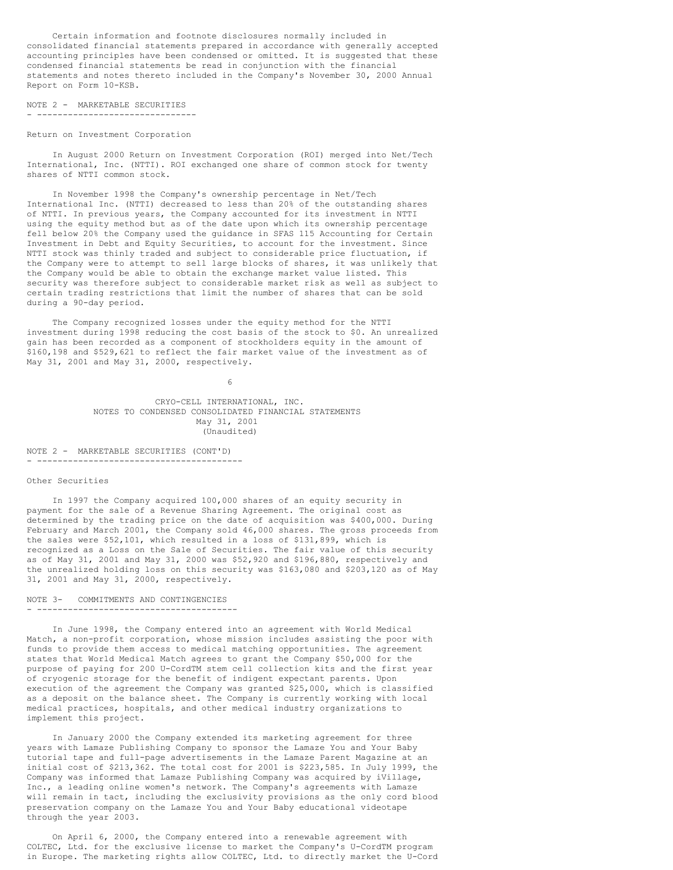Certain information and footnote disclosures normally included in consolidated financial statements prepared in accordance with generally accepted accounting principles have been condensed or omitted. It is suggested that these condensed financial statements be read in conjunction with the financial statements and notes thereto included in the Company's November 30, 2000 Annual Report on Form 10-KSB.

### NOTE 2 - MARKETABLE SECURITIES . --------------------------------

#### Return on Investment Corporation

In August 2000 Return on Investment Corporation (ROI) merged into Net/Tech International, Inc. (NTTI). ROI exchanged one share of common stock for twenty shares of NTTI common stock.

In November 1998 the Company's ownership percentage in Net/Tech International Inc. (NTTI) decreased to less than 20% of the outstanding shares of NTTI. In previous years, the Company accounted for its investment in NTTI using the equity method but as of the date upon which its ownership percentage fell below 20% the Company used the guidance in SFAS 115 Accounting for Certain Investment in Debt and Equity Securities, to account for the investment. Since NTTI stock was thinly traded and subject to considerable price fluctuation, if the Company were to attempt to sell large blocks of shares, it was unlikely that the Company would be able to obtain the exchange market value listed. This security was therefore subject to considerable market risk as well as subject to certain trading restrictions that limit the number of shares that can be sold during a 90-day period.

The Company recognized losses under the equity method for the NTTI investment during 1998 reducing the cost basis of the stock to \$0. An unrealized gain has been recorded as a component of stockholders equity in the amount of \$160,198 and \$529,621 to reflect the fair market value of the investment as of May 31, 2001 and May 31, 2000, respectively.

6

CRYO-CELL INTERNATIONAL, INC. NOTES TO CONDENSED CONSOLIDATED FINANCIAL STATEMENTS May 31, 2001 (Unaudited)

NOTE 2 - MARKETABLE SECURITIES (CONT'D) - ----------------------------------------

## Other Securities

In 1997 the Company acquired 100,000 shares of an equity security in payment for the sale of a Revenue Sharing Agreement. The original cost as determined by the trading price on the date of acquisition was \$400,000. During February and March 2001, the Company sold 46,000 shares. The gross proceeds from the sales were \$52,101, which resulted in a loss of \$131,899, which is recognized as a Loss on the Sale of Securities. The fair value of this security as of May 31, 2001 and May 31, 2000 was \$52,920 and \$196,880, respectively and the unrealized holding loss on this security was \$163,080 and \$203,120 as of May 31, 2001 and May 31, 2000, respectively.

## NOTE 3- COMMITMENTS AND CONTINGENCIES - ---------------------------------------

In June 1998, the Company entered into an agreement with World Medical Match, a non-profit corporation, whose mission includes assisting the poor with funds to provide them access to medical matching opportunities. The agreement states that World Medical Match agrees to grant the Company \$50,000 for the purpose of paying for 200 U-CordTM stem cell collection kits and the first year of cryogenic storage for the benefit of indigent expectant parents. Upon execution of the agreement the Company was granted \$25,000, which is classified as a deposit on the balance sheet. The Company is currently working with local medical practices, hospitals, and other medical industry organizations to implement this project.

In January 2000 the Company extended its marketing agreement for three years with Lamaze Publishing Company to sponsor the Lamaze You and Your Baby tutorial tape and full-page advertisements in the Lamaze Parent Magazine at an initial cost of \$213,362. The total cost for 2001 is \$223,585. In July 1999, the Company was informed that Lamaze Publishing Company was acquired by iVillage, Inc., a leading online women's network. The Company's agreements with Lamaze will remain in tact, including the exclusivity provisions as the only cord blood preservation company on the Lamaze You and Your Baby educational videotape through the year 2003.

On April 6, 2000, the Company entered into a renewable agreement with COLTEC, Ltd. for the exclusive license to market the Company's U-CordTM program in Europe. The marketing rights allow COLTEC, Ltd. to directly market the U-Cord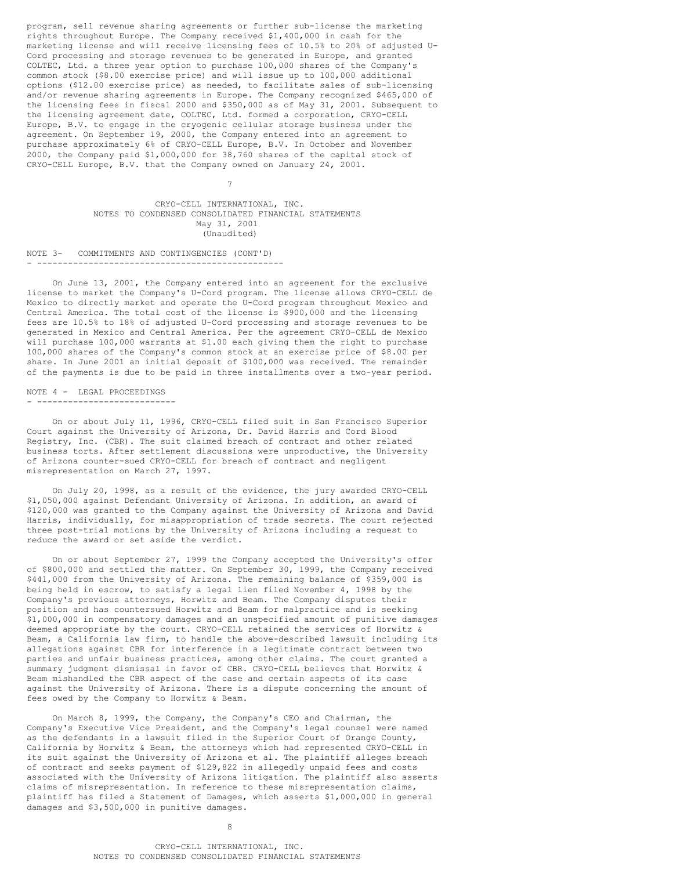program, sell revenue sharing agreements or further sub-license the marketing rights throughout Europe. The Company received \$1,400,000 in cash for the marketing license and will receive licensing fees of 10.5% to 20% of adjusted U-Cord processing and storage revenues to be generated in Europe, and granted COLTEC, Ltd. a three year option to purchase 100,000 shares of the Company's common stock (\$8.00 exercise price) and will issue up to 100,000 additional options (\$12.00 exercise price) as needed, to facilitate sales of sub-licensing and/or revenue sharing agreements in Europe. The Company recognized \$465,000 of the licensing fees in fiscal 2000 and \$350,000 as of May 31, 2001. Subsequent to the licensing agreement date, COLTEC, Ltd. formed a corporation, CRYO-CELL Europe, B.V. to engage in the cryogenic cellular storage business under the agreement. On September 19, 2000, the Company entered into an agreement to purchase approximately 6% of CRYO-CELL Europe, B.V. In October and November 2000, the Company paid \$1,000,000 for 38,760 shares of the capital stock of CRYO-CELL Europe, B.V. that the Company owned on January 24, 2001.

> CRYO-CELL INTERNATIONAL, INC. NOTES TO CONDENSED CONSOLIDATED FINANCIAL STATEMENTS May 31, 2001 (Unaudited)

7

NOTE 3- COMMITMENTS AND CONTINGENCIES (CONT'D) - ------------------------------------------------

On June 13, 2001, the Company entered into an agreement for the exclusive license to market the Company's U-Cord program. The license allows CRYO-CELL de Mexico to directly market and operate the U-Cord program throughout Mexico and Central America. The total cost of the license is \$900,000 and the licensing fees are 10.5% to 18% of adjusted U-Cord processing and storage revenues to be generated in Mexico and Central America. Per the agreement CRYO-CELL de Mexico will purchase 100,000 warrants at \$1.00 each giving them the right to purchase 100,000 shares of the Company's common stock at an exercise price of \$8.00 per share. In June 2001 an initial deposit of \$100,000 was received. The remainder of the payments is due to be paid in three installments over a two-year period.

NOTE 4 - LEGAL PROCEEDINGS - ---------------------------

On or about July 11, 1996, CRYO-CELL filed suit in San Francisco Superior Court against the University of Arizona, Dr. David Harris and Cord Blood Registry, Inc. (CBR). The suit claimed breach of contract and other related business torts. After settlement discussions were unproductive, the University of Arizona counter-sued CRYO-CELL for breach of contract and negligent misrepresentation on March 27, 1997.

On July 20, 1998, as a result of the evidence, the jury awarded CRYO-CELL \$1,050,000 against Defendant University of Arizona. In addition, an award of \$120,000 was granted to the Company against the University of Arizona and David Harris, individually, for misappropriation of trade secrets. The court rejected three post-trial motions by the University of Arizona including a request to reduce the award or set aside the verdict.

On or about September 27, 1999 the Company accepted the University's offer of \$800,000 and settled the matter. On September 30, 1999, the Company received \$441,000 from the University of Arizona. The remaining balance of \$359,000 is being held in escrow, to satisfy a legal lien filed November 4, 1998 by the Company's previous attorneys, Horwitz and Beam. The Company disputes their position and has countersued Horwitz and Beam for malpractice and is seeking \$1,000,000 in compensatory damages and an unspecified amount of punitive damages deemed appropriate by the court. CRYO-CELL retained the services of Horwitz & Beam, a California law firm, to handle the above-described lawsuit including its allegations against CBR for interference in a legitimate contract between two parties and unfair business practices, among other claims. The court granted a summary judgment dismissal in favor of CBR. CRYO-CELL believes that Horwitz & Beam mishandled the CBR aspect of the case and certain aspects of its case against the University of Arizona. There is a dispute concerning the amount of fees owed by the Company to Horwitz & Beam.

On March 8, 1999, the Company, the Company's CEO and Chairman, the Company's Executive Vice President, and the Company's legal counsel were named as the defendants in a lawsuit filed in the Superior Court of Orange County, California by Horwitz & Beam, the attorneys which had represented CRYO-CELL in its suit against the University of Arizona et al. The plaintiff alleges breach of contract and seeks payment of \$129,822 in allegedly unpaid fees and costs associated with the University of Arizona litigation. The plaintiff also asserts claims of misrepresentation. In reference to these misrepresentation claims, plaintiff has filed a Statement of Damages, which asserts \$1,000,000 in general damages and \$3,500,000 in punitive damages.

8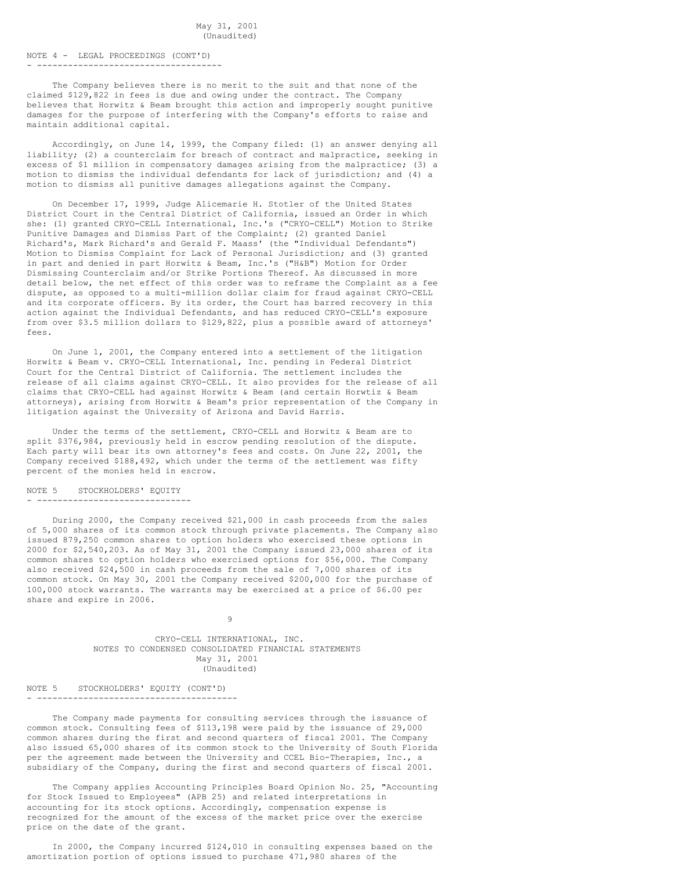## May 31, 2001 (Unaudited)

# NOTE 4 - LEGAL PROCEEDINGS (CONT'D)

- ------------------------------------

The Company believes there is no merit to the suit and that none of the claimed \$129,822 in fees is due and owing under the contract. The Company believes that Horwitz & Beam brought this action and improperly sought punitive damages for the purpose of interfering with the Company's efforts to raise and maintain additional capital.

Accordingly, on June 14, 1999, the Company filed: (1) an answer denying all liability; (2) a counterclaim for breach of contract and malpractice, seeking in excess of \$1 million in compensatory damages arising from the malpractice; (3) a motion to dismiss the individual defendants for lack of jurisdiction; and (4) a motion to dismiss all punitive damages allegations against the Company.

On December 17, 1999, Judge Alicemarie H. Stotler of the United States District Court in the Central District of California, issued an Order in which she: (1) granted CRYO-CELL International, Inc.'s ("CRYO-CELL") Motion to Strike Punitive Damages and Dismiss Part of the Complaint; (2) granted Daniel Richard's, Mark Richard's and Gerald F. Maass' (the "Individual Defendants") Motion to Dismiss Complaint for Lack of Personal Jurisdiction; and (3) granted in part and denied in part Horwitz & Beam, Inc.'s ("H&B") Motion for Order Dismissing Counterclaim and/or Strike Portions Thereof. As discussed in more detail below, the net effect of this order was to reframe the Complaint as a fee dispute, as opposed to a multi-million dollar claim for fraud against CRYO-CELL and its corporate officers. By its order, the Court has barred recovery in this action against the Individual Defendants, and has reduced CRYO-CELL's exposure from over \$3.5 million dollars to \$129,822, plus a possible award of attorneys' fees.

On June 1, 2001, the Company entered into a settlement of the litigation Horwitz & Beam v. CRYO-CELL International, Inc. pending in Federal District Court for the Central District of California. The settlement includes the release of all claims against CRYO-CELL. It also provides for the release of all claims that CRYO-CELL had against Horwitz & Beam (and certain Horwtiz & Beam attorneys), arising from Horwitz & Beam's prior representation of the Company in litigation against the University of Arizona and David Harris.

Under the terms of the settlement, CRYO-CELL and Horwitz & Beam are to split \$376,984, previously held in escrow pending resolution of the dispute. Each party will bear its own attorney's fees and costs. On June 22, 2001, the Company received \$188,492, which under the terms of the settlement was fifty percent of the monies held in escrow.

# NOTE 5 STOCKHOLDERS' EQUITY

- ------------------------------

During 2000, the Company received \$21,000 in cash proceeds from the sales of 5,000 shares of its common stock through private placements. The Company also issued 879,250 common shares to option holders who exercised these options in 2000 for \$2,540,203. As of May 31, 2001 the Company issued 23,000 shares of its common shares to option holders who exercised options for \$56,000. The Company also received \$24,500 in cash proceeds from the sale of 7,000 shares of its common stock. On May 30, 2001 the Company received \$200,000 for the purchase of 100,000 stock warrants. The warrants may be exercised at a price of \$6.00 per share and expire in 2006.

9

CRYO-CELL INTERNATIONAL, INC. NOTES TO CONDENSED CONSOLIDATED FINANCIAL STATEMENTS May 31, 2001 (Unaudited)

NOTE 5 STOCKHOLDERS' EQUITY (CONT'D) - ---------------------------------------

The Company made payments for consulting services through the issuance of common stock. Consulting fees of \$113,198 were paid by the issuance of 29,000 common shares during the first and second quarters of fiscal 2001. The Company also issued 65,000 shares of its common stock to the University of South Florida per the agreement made between the University and CCEL Bio-Therapies, Inc., a subsidiary of the Company, during the first and second quarters of fiscal 2001.

The Company applies Accounting Principles Board Opinion No. 25, "Accounting for Stock Issued to Employees" (APB 25) and related interpretations in accounting for its stock options. Accordingly, compensation expense is recognized for the amount of the excess of the market price over the exercise price on the date of the grant.

In 2000, the Company incurred \$124,010 in consulting expenses based on the amortization portion of options issued to purchase 471,980 shares of the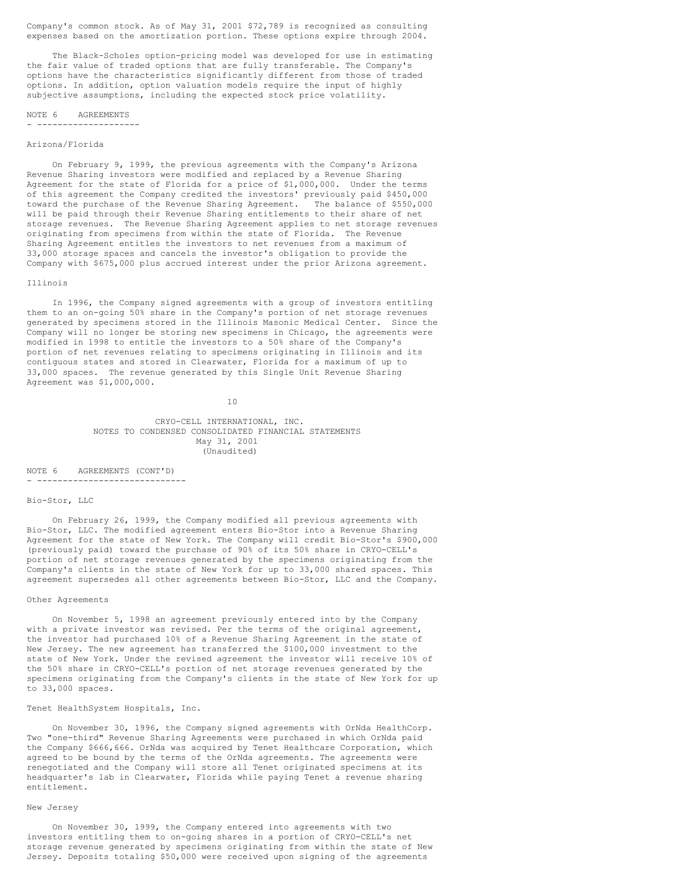Company's common stock. As of May 31, 2001 \$72,789 is recognized as consulting expenses based on the amortization portion. These options expire through 2004.

The Black-Scholes option-pricing model was developed for use in estimating the fair value of traded options that are fully transferable. The Company's options have the characteristics significantly different from those of traded options. In addition, option valuation models require the input of highly subjective assumptions, including the expected stock price volatility.

#### NOTE 6 AGREEMENTS - --------------------

### Arizona/Florida

On February 9, 1999, the previous agreements with the Company's Arizona Revenue Sharing investors were modified and replaced by a Revenue Sharing Agreement for the state of Florida for a price of \$1,000,000. Under the terms of this agreement the Company credited the investors' previously paid \$450,000 toward the purchase of the Revenue Sharing Agreement. The balance of \$550,000 will be paid through their Revenue Sharing entitlements to their share of net storage revenues. The Revenue Sharing Agreement applies to net storage revenues originating from specimens from within the state of Florida. The Revenue Sharing Agreement entitles the investors to net revenues from a maximum of 33,000 storage spaces and cancels the investor's obligation to provide the Company with \$675,000 plus accrued interest under the prior Arizona agreement.

#### Illinois

In 1996, the Company signed agreements with a group of investors entitling them to an on-going 50% share in the Company's portion of net storage revenues generated by specimens stored in the Illinois Masonic Medical Center. Since the Company will no longer be storing new specimens in Chicago, the agreements were modified in 1998 to entitle the investors to a 50% share of the Company's portion of net revenues relating to specimens originating in Illinois and its contiguous states and stored in Clearwater, Florida for a maximum of up to 33,000 spaces. The revenue generated by this Single Unit Revenue Sharing Agreement was \$1,000,000.

10

## CRYO-CELL INTERNATIONAL, INC. NOTES TO CONDENSED CONSOLIDATED FINANCIAL STATEMENTS May 31, 2001 (Unaudited)

NOTE 6 AGREEMENTS (CONT'D) . -----------------------------

#### Bio-Stor, LLC

On February 26, 1999, the Company modified all previous agreements with Bio-Stor, LLC. The modified agreement enters Bio-Stor into a Revenue Sharing Agreement for the state of New York. The Company will credit Bio-Stor's \$900,000 (previously paid) toward the purchase of 90% of its 50% share in CRYO-CELL's portion of net storage revenues generated by the specimens originating from the Company's clients in the state of New York for up to 33,000 shared spaces. This agreement supersedes all other agreements between Bio-Stor, LLC and the Company.

### Other Agreements

On November 5, 1998 an agreement previously entered into by the Company with a private investor was revised. Per the terms of the original agreement, the investor had purchased 10% of a Revenue Sharing Agreement in the state of New Jersey. The new agreement has transferred the \$100,000 investment to the state of New York. Under the revised agreement the investor will receive 10% of the 50% share in CRYO-CELL's portion of net storage revenues generated by the specimens originating from the Company's clients in the state of New York for up to 33,000 spaces.

## Tenet HealthSystem Hospitals, Inc.

On November 30, 1996, the Company signed agreements with OrNda HealthCorp. Two "one-third" Revenue Sharing Agreements were purchased in which OrNda paid the Company \$666,666. OrNda was acquired by Tenet Healthcare Corporation, which agreed to be bound by the terms of the OrNda agreements. The agreements were renegotiated and the Company will store all Tenet originated specimens at its headquarter's lab in Clearwater, Florida while paying Tenet a revenue sharing entitlement.

#### New Jersey

On November 30, 1999, the Company entered into agreements with two investors entitling them to on-going shares in a portion of CRYO-CELL's net storage revenue generated by specimens originating from within the state of New Jersey. Deposits totaling \$50,000 were received upon signing of the agreements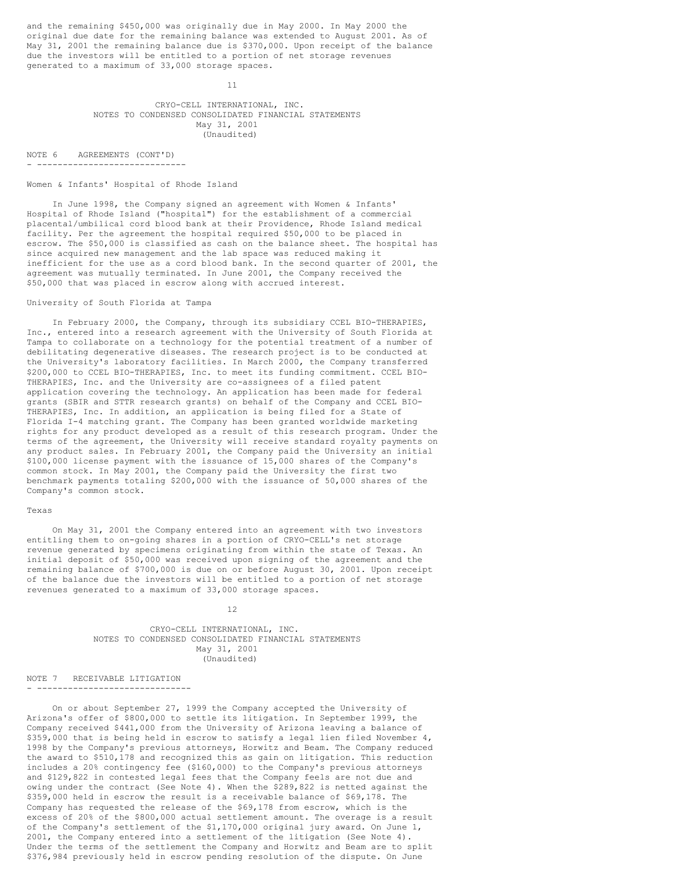and the remaining \$450,000 was originally due in May 2000. In May 2000 the original due date for the remaining balance was extended to August 2001. As of May 31, 2001 the remaining balance due is \$370,000. Upon receipt of the balance due the investors will be entitled to a portion of net storage revenues generated to a maximum of 33,000 storage spaces.

11

CRYO-CELL INTERNATIONAL, INC. NOTES TO CONDENSED CONSOLIDATED FINANCIAL STATEMENTS May 31, 2001 (Unaudited)

NOTE 6 AGREEMENTS (CONT'D) - -----------------------------

### Women & Infants' Hospital of Rhode Island

In June 1998, the Company signed an agreement with Women & Infants' Hospital of Rhode Island ("hospital") for the establishment of a commercial placental/umbilical cord blood bank at their Providence, Rhode Island medical facility. Per the agreement the hospital required \$50,000 to be placed in escrow. The \$50,000 is classified as cash on the balance sheet. The hospital has since acquired new management and the lab space was reduced making it inefficient for the use as a cord blood bank. In the second quarter of 2001, the agreement was mutually terminated. In June 2001, the Company received the \$50,000 that was placed in escrow along with accrued interest.

## University of South Florida at Tampa

In February 2000, the Company, through its subsidiary CCEL BIO-THERAPIES, Inc., entered into a research agreement with the University of South Florida at Tampa to collaborate on a technology for the potential treatment of a number of debilitating degenerative diseases. The research project is to be conducted at the University's laboratory facilities. In March 2000, the Company transferred \$200,000 to CCEL BIO-THERAPIES, Inc. to meet its funding commitment. CCEL BIO-THERAPIES, Inc. and the University are co-assignees of a filed patent application covering the technology. An application has been made for federal grants (SBIR and STTR research grants) on behalf of the Company and CCEL BIO-THERAPIES, Inc. In addition, an application is being filed for a State of Florida I-4 matching grant. The Company has been granted worldwide marketing rights for any product developed as a result of this research program. Under the terms of the agreement, the University will receive standard royalty payments on any product sales. In February 2001, the Company paid the University an initial \$100,000 license payment with the issuance of 15,000 shares of the Company's common stock. In May 2001, the Company paid the University the first two benchmark payments totaling \$200,000 with the issuance of 50,000 shares of the Company's common stock.

## Texas

On May 31, 2001 the Company entered into an agreement with two investors entitling them to on-going shares in a portion of CRYO-CELL's net storage revenue generated by specimens originating from within the state of Texas. An initial deposit of \$50,000 was received upon signing of the agreement and the remaining balance of \$700,000 is due on or before August 30, 2001. Upon receipt of the balance due the investors will be entitled to a portion of net storage revenues generated to a maximum of 33,000 storage spaces.

### 12

CRYO-CELL INTERNATIONAL, INC. NOTES TO CONDENSED CONSOLIDATED FINANCIAL STATEMENTS May 31, 2001 (Unaudited)

NOTE 7 RECEIVABLE LITIGATION - ------------------------------

On or about September 27, 1999 the Company accepted the University of Arizona's offer of \$800,000 to settle its litigation. In September 1999, the Company received \$441,000 from the University of Arizona leaving a balance of \$359,000 that is being held in escrow to satisfy a legal lien filed November 4, 1998 by the Company's previous attorneys, Horwitz and Beam. The Company reduced the award to \$510,178 and recognized this as gain on litigation. This reduction includes a 20% contingency fee (\$160,000) to the Company's previous attorneys and \$129,822 in contested legal fees that the Company feels are not due and owing under the contract (See Note 4). When the \$289,822 is netted against the \$359,000 held in escrow the result is a receivable balance of \$69,178. The Company has requested the release of the \$69,178 from escrow, which is the excess of 20% of the \$800,000 actual settlement amount. The overage is a result of the Company's settlement of the \$1,170,000 original jury award. On June 1, 2001, the Company entered into a settlement of the litigation (See Note 4). Under the terms of the settlement the Company and Horwitz and Beam are to split \$376,984 previously held in escrow pending resolution of the dispute. On June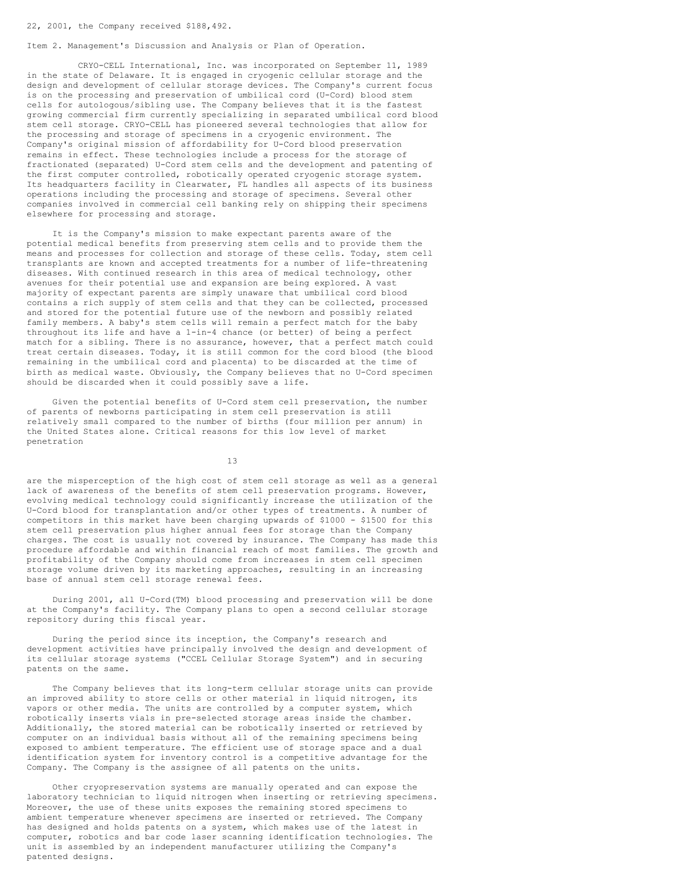Item 2. Management's Discussion and Analysis or Plan of Operation.

CRYO-CELL International, Inc. was incorporated on September 11, 1989 in the state of Delaware. It is engaged in cryogenic cellular storage and the design and development of cellular storage devices. The Company's current focus is on the processing and preservation of umbilical cord (U-Cord) blood stem cells for autologous/sibling use. The Company believes that it is the fastest growing commercial firm currently specializing in separated umbilical cord blood stem cell storage. CRYO-CELL has pioneered several technologies that allow for the processing and storage of specimens in a cryogenic environment. The Company's original mission of affordability for U-Cord blood preservation remains in effect. These technologies include a process for the storage of fractionated (separated) U-Cord stem cells and the development and patenting of the first computer controlled, robotically operated cryogenic storage system. Its headquarters facility in Clearwater, FL handles all aspects of its business operations including the processing and storage of specimens. Several other companies involved in commercial cell banking rely on shipping their specimens elsewhere for processing and storage.

It is the Company's mission to make expectant parents aware of the potential medical benefits from preserving stem cells and to provide them the means and processes for collection and storage of these cells. Today, stem cell transplants are known and accepted treatments for a number of life-threatening diseases. With continued research in this area of medical technology, other avenues for their potential use and expansion are being explored. A vast majority of expectant parents are simply unaware that umbilical cord blood contains a rich supply of stem cells and that they can be collected, processed and stored for the potential future use of the newborn and possibly related family members. A baby's stem cells will remain a perfect match for the baby throughout its life and have a 1-in-4 chance (or better) of being a perfect match for a sibling. There is no assurance, however, that a perfect match could treat certain diseases. Today, it is still common for the cord blood (the blood remaining in the umbilical cord and placenta) to be discarded at the time of birth as medical waste. Obviously, the Company believes that no U-Cord specimen should be discarded when it could possibly save a life.

Given the potential benefits of U-Cord stem cell preservation, the number of parents of newborns participating in stem cell preservation is still relatively small compared to the number of births (four million per annum) in the United States alone. Critical reasons for this low level of market penetration

13

are the misperception of the high cost of stem cell storage as well as a general lack of awareness of the benefits of stem cell preservation programs. However, evolving medical technology could significantly increase the utilization of the U-Cord blood for transplantation and/or other types of treatments. A number of competitors in this market have been charging upwards of \$1000 - \$1500 for this stem cell preservation plus higher annual fees for storage than the Company charges. The cost is usually not covered by insurance. The Company has made this procedure affordable and within financial reach of most families. The growth and profitability of the Company should come from increases in stem cell specimen storage volume driven by its marketing approaches, resulting in an increasing base of annual stem cell storage renewal fees.

During 2001, all U-Cord(TM) blood processing and preservation will be done at the Company's facility. The Company plans to open a second cellular storage repository during this fiscal year.

During the period since its inception, the Company's research and development activities have principally involved the design and development of its cellular storage systems ("CCEL Cellular Storage System") and in securing patents on the same.

The Company believes that its long-term cellular storage units can provide an improved ability to store cells or other material in liquid nitrogen, its vapors or other media. The units are controlled by a computer system, which robotically inserts vials in pre-selected storage areas inside the chamber. Additionally, the stored material can be robotically inserted or retrieved by computer on an individual basis without all of the remaining specimens being exposed to ambient temperature. The efficient use of storage space and a dual identification system for inventory control is a competitive advantage for the Company. The Company is the assignee of all patents on the units.

Other cryopreservation systems are manually operated and can expose the laboratory technician to liquid nitrogen when inserting or retrieving specimens. Moreover, the use of these units exposes the remaining stored specimens to ambient temperature whenever specimens are inserted or retrieved. The Company has designed and holds patents on a system, which makes use of the latest in computer, robotics and bar code laser scanning identification technologies. The unit is assembled by an independent manufacturer utilizing the Company's patented designs.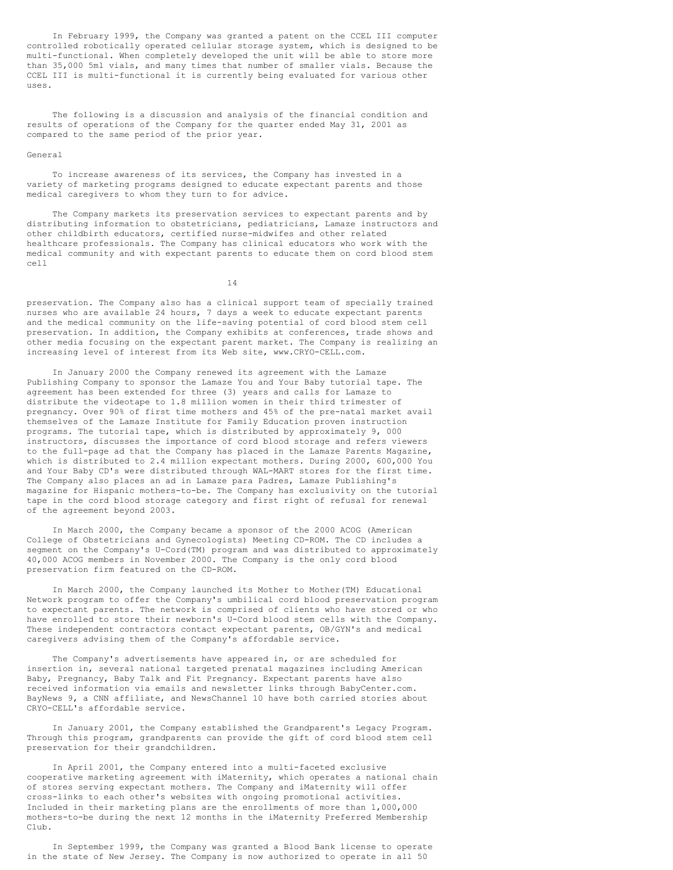In February 1999, the Company was granted a patent on the CCEL III computer controlled robotically operated cellular storage system, which is designed to be multi-functional. When completely developed the unit will be able to store more than 35,000 5ml vials, and many times that number of smaller vials. Because the CCEL III is multi-functional it is currently being evaluated for various other uses.

The following is a discussion and analysis of the financial condition and results of operations of the Company for the quarter ended May 31, 2001 as compared to the same period of the prior year.

#### General

To increase awareness of its services, the Company has invested in a variety of marketing programs designed to educate expectant parents and those medical caregivers to whom they turn to for advice.

The Company markets its preservation services to expectant parents and by distributing information to obstetricians, pediatricians, Lamaze instructors and other childbirth educators, certified nurse-midwifes and other related healthcare professionals. The Company has clinical educators who work with the medical community and with expectant parents to educate them on cord blood stem cell

14

preservation. The Company also has a clinical support team of specially trained nurses who are available 24 hours, 7 days a week to educate expectant parents and the medical community on the life-saving potential of cord blood stem cell preservation. In addition, the Company exhibits at conferences, trade shows and other media focusing on the expectant parent market. The Company is realizing an increasing level of interest from its Web site, www.CRYO-CELL.com.

In January 2000 the Company renewed its agreement with the Lamaze Publishing Company to sponsor the Lamaze You and Your Baby tutorial tape. The agreement has been extended for three (3) years and calls for Lamaze to distribute the videotape to 1.8 million women in their third trimester of pregnancy. Over 90% of first time mothers and 45% of the pre-natal market avail themselves of the Lamaze Institute for Family Education proven instruction programs. The tutorial tape, which is distributed by approximately 9, 000 instructors, discusses the importance of cord blood storage and refers viewers to the full-page ad that the Company has placed in the Lamaze Parents Magazine, which is distributed to 2.4 million expectant mothers. During 2000, 600,000 You and Your Baby CD's were distributed through WAL-MART stores for the first time. The Company also places an ad in Lamaze para Padres, Lamaze Publishing's magazine for Hispanic mothers-to-be. The Company has exclusivity on the tutorial tape in the cord blood storage category and first right of refusal for renewal of the agreement beyond 2003.

In March 2000, the Company became a sponsor of the 2000 ACOG (American College of Obstetricians and Gynecologists) Meeting CD-ROM. The CD includes a segment on the Company's U-Cord(TM) program and was distributed to approximately 40,000 ACOG members in November 2000. The Company is the only cord blood preservation firm featured on the CD-ROM.

In March 2000, the Company launched its Mother to Mother(TM) Educational Network program to offer the Company's umbilical cord blood preservation program to expectant parents. The network is comprised of clients who have stored or who have enrolled to store their newborn's U-Cord blood stem cells with the Company. These independent contractors contact expectant parents, OB/GYN's and medical caregivers advising them of the Company's affordable service.

The Company's advertisements have appeared in, or are scheduled for insertion in, several national targeted prenatal magazines including American Baby, Pregnancy, Baby Talk and Fit Pregnancy. Expectant parents have also received information via emails and newsletter links through BabyCenter.com. BayNews 9, a CNN affiliate, and NewsChannel 10 have both carried stories about CRYO-CELL's affordable service.

In January 2001, the Company established the Grandparent's Legacy Program. Through this program, grandparents can provide the gift of cord blood stem cell preservation for their grandchildren.

In April 2001, the Company entered into a multi-faceted exclusive cooperative marketing agreement with iMaternity, which operates a national chain of stores serving expectant mothers. The Company and iMaternity will offer cross-links to each other's websites with ongoing promotional activities. Included in their marketing plans are the enrollments of more than 1,000,000 mothers-to-be during the next 12 months in the iMaternity Preferred Membership Club.

In September 1999, the Company was granted a Blood Bank license to operate in the state of New Jersey. The Company is now authorized to operate in all 50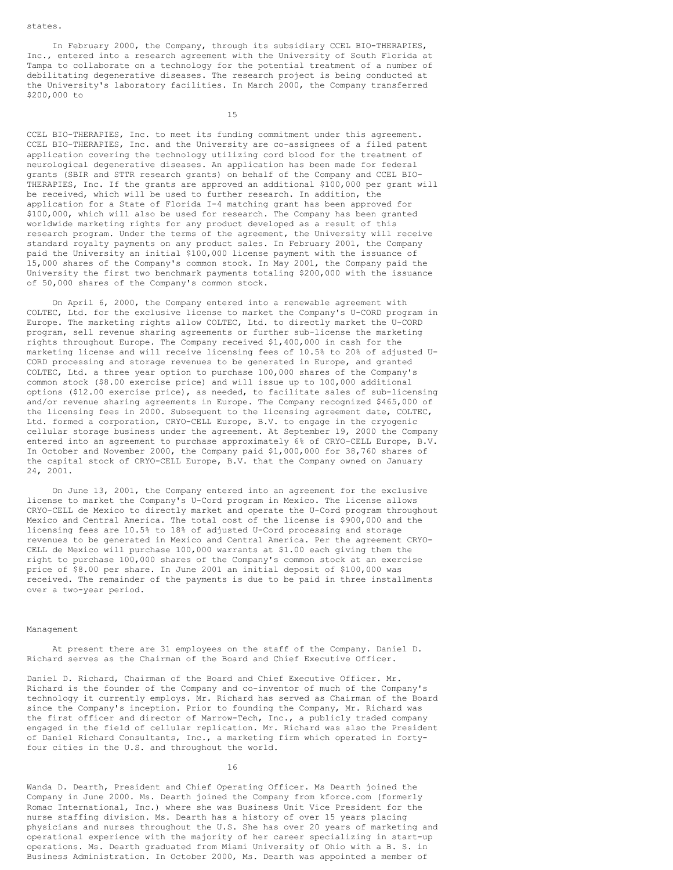states.

In February 2000, the Company, through its subsidiary CCEL BIO-THERAPIES, Inc., entered into a research agreement with the University of South Florida at Tampa to collaborate on a technology for the potential treatment of a number of debilitating degenerative diseases. The research project is being conducted at the University's laboratory facilities. In March 2000, the Company transferred \$200,000 to

15

CCEL BIO-THERAPIES, Inc. to meet its funding commitment under this agreement. CCEL BIO-THERAPIES, Inc. and the University are co-assignees of a filed patent application covering the technology utilizing cord blood for the treatment of neurological degenerative diseases. An application has been made for federal grants (SBIR and STTR research grants) on behalf of the Company and CCEL BIO-THERAPIES, Inc. If the grants are approved an additional \$100,000 per grant will be received, which will be used to further research. In addition, the application for a State of Florida I-4 matching grant has been approved for \$100,000, which will also be used for research. The Company has been granted worldwide marketing rights for any product developed as a result of this research program. Under the terms of the agreement, the University will receive standard royalty payments on any product sales. In February 2001, the Company paid the University an initial \$100,000 license payment with the issuance of 15,000 shares of the Company's common stock. In May 2001, the Company paid the University the first two benchmark payments totaling \$200,000 with the issuance of 50,000 shares of the Company's common stock.

On April 6, 2000, the Company entered into a renewable agreement with COLTEC, Ltd. for the exclusive license to market the Company's U-CORD program in Europe. The marketing rights allow COLTEC, Ltd. to directly market the U-CORD program, sell revenue sharing agreements or further sub-license the marketing rights throughout Europe. The Company received \$1,400,000 in cash for the marketing license and will receive licensing fees of 10.5% to 20% of adjusted U-CORD processing and storage revenues to be generated in Europe, and granted COLTEC, Ltd. a three year option to purchase 100,000 shares of the Company's common stock (\$8.00 exercise price) and will issue up to 100,000 additional options (\$12.00 exercise price), as needed, to facilitate sales of sub-licensing and/or revenue sharing agreements in Europe. The Company recognized \$465,000 of the licensing fees in 2000. Subsequent to the licensing agreement date, COLTEC, Ltd. formed a corporation, CRYO-CELL Europe, B.V. to engage in the cryogenic cellular storage business under the agreement. At September 19, 2000 the Company entered into an agreement to purchase approximately 6% of CRYO-CELL Europe, B.V. In October and November 2000, the Company paid \$1,000,000 for 38,760 shares of the capital stock of CRYO-CELL Europe, B.V. that the Company owned on January 24, 2001.

On June 13, 2001, the Company entered into an agreement for the exclusive license to market the Company's U-Cord program in Mexico. The license allows CRYO-CELL de Mexico to directly market and operate the U-Cord program throughout Mexico and Central America. The total cost of the license is \$900,000 and the licensing fees are 10.5% to 18% of adjusted U-Cord processing and storage revenues to be generated in Mexico and Central America. Per the agreement CRYO-CELL de Mexico will purchase 100,000 warrants at \$1.00 each giving them the right to purchase 100,000 shares of the Company's common stock at an exercise price of \$8.00 per share. In June 2001 an initial deposit of \$100,000 was received. The remainder of the payments is due to be paid in three installments over a two-year period.

### Management

At present there are 31 employees on the staff of the Company. Daniel D. Richard serves as the Chairman of the Board and Chief Executive Officer.

Daniel D. Richard, Chairman of the Board and Chief Executive Officer. Mr. Richard is the founder of the Company and co-inventor of much of the Company's technology it currently employs. Mr. Richard has served as Chairman of the Board since the Company's inception. Prior to founding the Company, Mr. Richard was the first officer and director of Marrow-Tech, Inc., a publicly traded company engaged in the field of cellular replication. Mr. Richard was also the President of Daniel Richard Consultants, Inc., a marketing firm which operated in fortyfour cities in the U.S. and throughout the world.

16

Wanda D. Dearth, President and Chief Operating Officer. Ms Dearth joined the Company in June 2000. Ms. Dearth joined the Company from kforce.com (formerly Romac International, Inc.) where she was Business Unit Vice President for the nurse staffing division. Ms. Dearth has a history of over 15 years placing physicians and nurses throughout the U.S. She has over 20 years of marketing and operational experience with the majority of her career specializing in start-up operations. Ms. Dearth graduated from Miami University of Ohio with a B. S. in Business Administration. In October 2000, Ms. Dearth was appointed a member of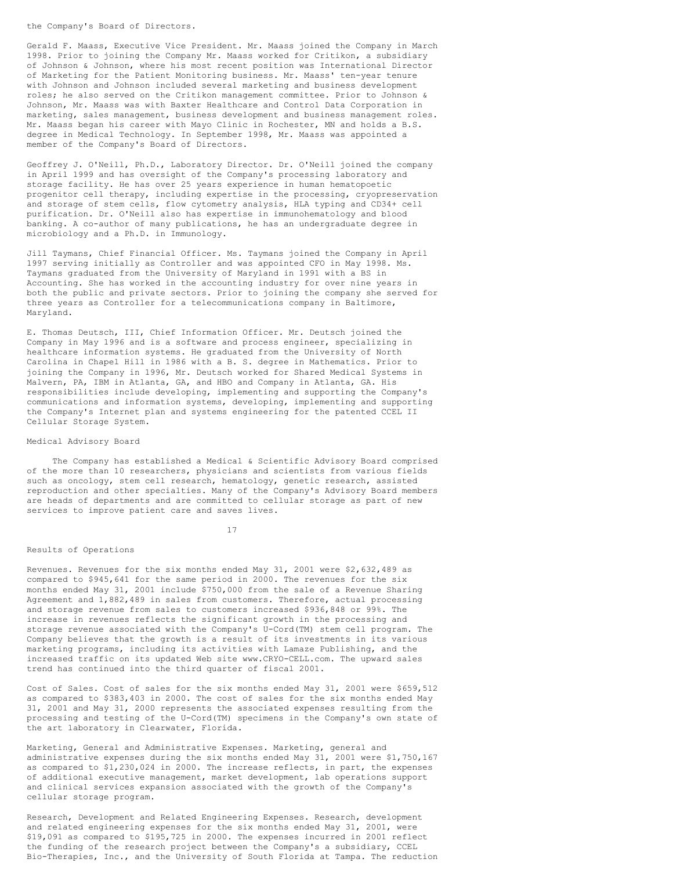the Company's Board of Directors.

Gerald F. Maass, Executive Vice President. Mr. Maass joined the Company in March 1998. Prior to joining the Company Mr. Maass worked for Critikon, a subsidiary of Johnson & Johnson, where his most recent position was International Director of Marketing for the Patient Monitoring business. Mr. Maass' ten-year tenure with Johnson and Johnson included several marketing and business development roles; he also served on the Critikon management committee. Prior to Johnson & Johnson, Mr. Maass was with Baxter Healthcare and Control Data Corporation in marketing, sales management, business development and business management roles. Mr. Maass began his career with Mayo Clinic in Rochester, MN and holds a B.S. degree in Medical Technology. In September 1998, Mr. Maass was appointed a member of the Company's Board of Directors.

Geoffrey J. O'Neill, Ph.D., Laboratory Director. Dr. O'Neill joined the company in April 1999 and has oversight of the Company's processing laboratory and storage facility. He has over 25 years experience in human hematopoetic progenitor cell therapy, including expertise in the processing, cryopreservation and storage of stem cells, flow cytometry analysis, HLA typing and CD34+ cell purification. Dr. O'Neill also has expertise in immunohematology and blood banking. A co-author of many publications, he has an undergraduate degree in microbiology and a Ph.D. in Immunology.

Jill Taymans, Chief Financial Officer. Ms. Taymans joined the Company in April 1997 serving initially as Controller and was appointed CFO in May 1998. Ms. Taymans graduated from the University of Maryland in 1991 with a BS in Accounting. She has worked in the accounting industry for over nine years in both the public and private sectors. Prior to joining the company she served for three years as Controller for a telecommunications company in Baltimore, Maryland.

E. Thomas Deutsch, III, Chief Information Officer. Mr. Deutsch joined the Company in May 1996 and is a software and process engineer, specializing in healthcare information systems. He graduated from the University of North Carolina in Chapel Hill in 1986 with a B. S. degree in Mathematics. Prior to joining the Company in 1996, Mr. Deutsch worked for Shared Medical Systems in Malvern, PA, IBM in Atlanta, GA, and HBO and Company in Atlanta, GA. His responsibilities include developing, implementing and supporting the Company's communications and information systems, developing, implementing and supporting the Company's Internet plan and systems engineering for the patented CCEL II Cellular Storage System.

## Medical Advisory Board

The Company has established a Medical & Scientific Advisory Board comprised of the more than 10 researchers, physicians and scientists from various fields such as oncology, stem cell research, hematology, genetic research, assisted reproduction and other specialties. Many of the Company's Advisory Board members are heads of departments and are committed to cellular storage as part of new services to improve patient care and saves lives.

17

### Results of Operations

Revenues. Revenues for the six months ended May 31, 2001 were \$2,632,489 as compared to \$945,641 for the same period in 2000. The revenues for the six months ended May 31, 2001 include \$750,000 from the sale of a Revenue Sharing Agreement and 1,882,489 in sales from customers. Therefore, actual processing and storage revenue from sales to customers increased \$936,848 or 99%. The increase in revenues reflects the significant growth in the processing and storage revenue associated with the Company's U-Cord(TM) stem cell program. The Company believes that the growth is a result of its investments in its various marketing programs, including its activities with Lamaze Publishing, and the increased traffic on its updated Web site www.CRYO-CELL.com. The upward sales trend has continued into the third quarter of fiscal 2001.

Cost of Sales. Cost of sales for the six months ended May 31, 2001 were \$659,512 as compared to \$383,403 in 2000. The cost of sales for the six months ended May 31, 2001 and May 31, 2000 represents the associated expenses resulting from the processing and testing of the U-Cord(TM) specimens in the Company's own state of the art laboratory in Clearwater, Florida.

Marketing, General and Administrative Expenses. Marketing, general and administrative expenses during the six months ended May 31, 2001 were \$1,750,167 as compared to \$1,230,024 in 2000. The increase reflects, in part, the expenses of additional executive management, market development, lab operations support and clinical services expansion associated with the growth of the Company's cellular storage program.

Research, Development and Related Engineering Expenses. Research, development and related engineering expenses for the six months ended May 31, 2001, were \$19,091 as compared to \$195,725 in 2000. The expenses incurred in 2001 reflect the funding of the research project between the Company's a subsidiary, CCEL Bio-Therapies, Inc., and the University of South Florida at Tampa. The reduction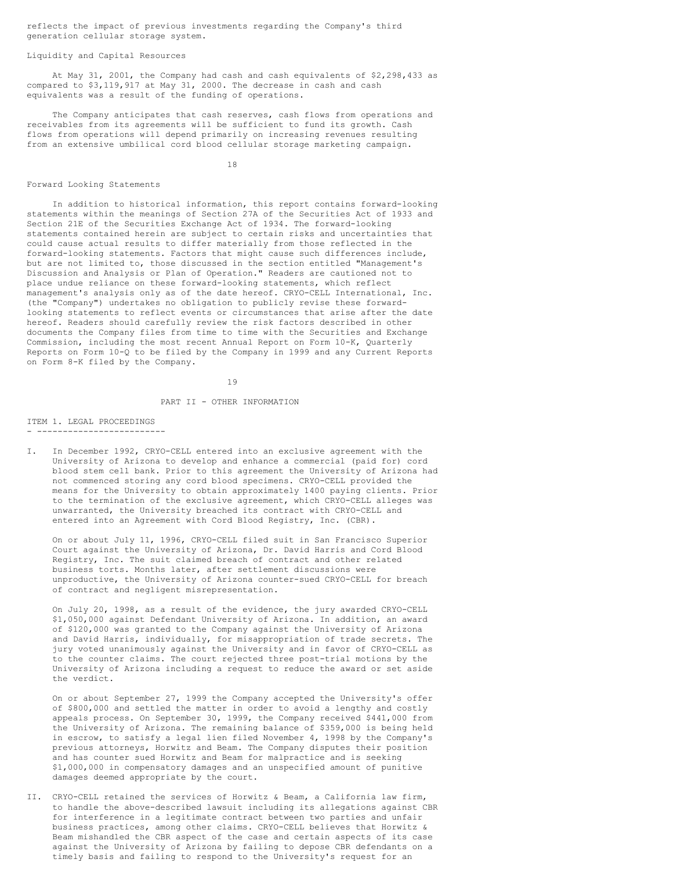reflects the impact of previous investments regarding the Company's third generation cellular storage system.

## Liquidity and Capital Resources

At May 31, 2001, the Company had cash and cash equivalents of \$2,298,433 as compared to \$3,119,917 at May 31, 2000. The decrease in cash and cash equivalents was a result of the funding of operations.

The Company anticipates that cash reserves, cash flows from operations and receivables from its agreements will be sufficient to fund its growth. Cash flows from operations will depend primarily on increasing revenues resulting from an extensive umbilical cord blood cellular storage marketing campaign.

18

#### Forward Looking Statements

In addition to historical information, this report contains forward-looking statements within the meanings of Section 27A of the Securities Act of 1933 and Section 21E of the Securities Exchange Act of 1934. The forward-looking statements contained herein are subject to certain risks and uncertainties that could cause actual results to differ materially from those reflected in the forward-looking statements. Factors that might cause such differences include, but are not limited to, those discussed in the section entitled "Management's Discussion and Analysis or Plan of Operation." Readers are cautioned not to place undue reliance on these forward-looking statements, which reflect management's analysis only as of the date hereof. CRYO-CELL International, Inc. (the "Company") undertakes no obligation to publicly revise these forwardlooking statements to reflect events or circumstances that arise after the date hereof. Readers should carefully review the risk factors described in other documents the Company files from time to time with the Securities and Exchange Commission, including the most recent Annual Report on Form 10-K, Quarterly Reports on Form 10-Q to be filed by the Company in 1999 and any Current Reports on Form 8-K filed by the Company.

19

#### PART II - OTHER INFORMATION

#### ITEM 1. LEGAL PROCEEDINGS - -------------------------

In December 1992, CRYO-CELL entered into an exclusive agreement with the University of Arizona to develop and enhance a commercial (paid for) cord blood stem cell bank. Prior to this agreement the University of Arizona had not commenced storing any cord blood specimens. CRYO-CELL provided the means for the University to obtain approximately 1400 paying clients. Prior to the termination of the exclusive agreement, which CRYO-CELL alleges was unwarranted, the University breached its contract with CRYO-CELL and

entered into an Agreement with Cord Blood Registry, Inc. (CBR).

On or about July 11, 1996, CRYO-CELL filed suit in San Francisco Superior Court against the University of Arizona, Dr. David Harris and Cord Blood Registry, Inc. The suit claimed breach of contract and other related business torts. Months later, after settlement discussions were unproductive, the University of Arizona counter-sued CRYO-CELL for breach of contract and negligent misrepresentation.

On July 20, 1998, as a result of the evidence, the jury awarded CRYO-CELL \$1,050,000 against Defendant University of Arizona. In addition, an award of \$120,000 was granted to the Company against the University of Arizona and David Harris, individually, for misappropriation of trade secrets. The jury voted unanimously against the University and in favor of CRYO-CELL as to the counter claims. The court rejected three post-trial motions by the University of Arizona including a request to reduce the award or set aside the verdict.

On or about September 27, 1999 the Company accepted the University's offer of \$800,000 and settled the matter in order to avoid a lengthy and costly appeals process. On September 30, 1999, the Company received \$441,000 from the University of Arizona. The remaining balance of \$359,000 is being held in escrow, to satisfy a legal lien filed November 4, 1998 by the Company's previous attorneys, Horwitz and Beam. The Company disputes their position and has counter sued Horwitz and Beam for malpractice and is seeking \$1,000,000 in compensatory damages and an unspecified amount of punitive damages deemed appropriate by the court.

II. CRYO-CELL retained the services of Horwitz & Beam, a California law firm, to handle the above-described lawsuit including its allegations against CBR for interference in a legitimate contract between two parties and unfair business practices, among other claims. CRYO-CELL believes that Horwitz & Beam mishandled the CBR aspect of the case and certain aspects of its case against the University of Arizona by failing to depose CBR defendants on a timely basis and failing to respond to the University's request for an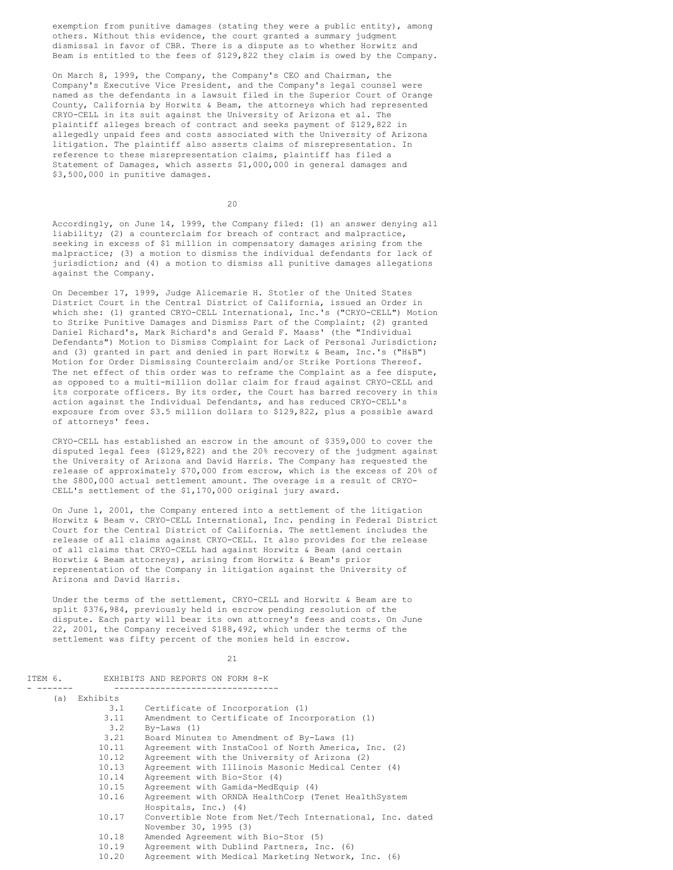exemption from punitive damages (stating they were a public entity), among others. Without this evidence, the court granted a summary judgment dismissal in favor of CBR. There is a dispute as to whether Horwitz and Beam is entitled to the fees of \$129,822 they claim is owed by the Company.

On March 8, 1999, the Company, the Company's CEO and Chairman, the Company's Executive Vice President, and the Company's legal counsel were named as the defendants in a lawsuit filed in the Superior Court of Orange County, California by Horwitz & Beam, the attorneys which had represented CRYO-CELL in its suit against the University of Arizona et al. The plaintiff alleges breach of contract and seeks payment of \$129,822 in allegedly unpaid fees and costs associated with the University of Arizona litigation. The plaintiff also asserts claims of misrepresentation. In reference to these misrepresentation claims, plaintiff has filed a Statement of Damages, which asserts \$1,000,000 in general damages and \$3,500,000 in punitive damages.

20

Accordingly, on June 14, 1999, the Company filed: (1) an answer denying all liability; (2) a counterclaim for breach of contract and malpractice, seeking in excess of \$1 million in compensatory damages arising from the malpractice; (3) a motion to dismiss the individual defendants for lack of jurisdiction; and (4) a motion to dismiss all punitive damages allegations against the Company.

On December 17, 1999, Judge Alicemarie H. Stotler of the United States District Court in the Central District of California, issued an Order in which she: (1) granted CRYO-CELL International, Inc.'s ("CRYO-CELL") Motion to Strike Punitive Damages and Dismiss Part of the Complaint; (2) granted Daniel Richard's, Mark Richard's and Gerald F. Maass' (the "Individual Defendants") Motion to Dismiss Complaint for Lack of Personal Jurisdiction; and (3) granted in part and denied in part Horwitz & Beam, Inc.'s ("H&B") Motion for Order Dismissing Counterclaim and/or Strike Portions Thereof. The net effect of this order was to reframe the Complaint as a fee dispute, as opposed to a multi-million dollar claim for fraud against CRYO-CELL and its corporate officers. By its order, the Court has barred recovery in this action against the Individual Defendants, and has reduced CRYO-CELL's exposure from over \$3.5 million dollars to \$129,822, plus a possible award of attorneys' fees.

CRYO-CELL has established an escrow in the amount of \$359,000 to cover the disputed legal fees (\$129,822) and the 20% recovery of the judgment against the University of Arizona and David Harris. The Company has requested the release of approximately \$70,000 from escrow, which is the excess of 20% of the \$800,000 actual settlement amount. The overage is a result of CRYO-CELL's settlement of the \$1,170,000 original jury award.

On June 1, 2001, the Company entered into a settlement of the litigation Horwitz & Beam v. CRYO-CELL International, Inc. pending in Federal District Court for the Central District of California. The settlement includes the release of all claims against CRYO-CELL. It also provides for the release of all claims that CRYO-CELL had against Horwitz & Beam (and certain Horwtiz & Beam attorneys), arising from Horwitz & Beam's prior representation of the Company in litigation against the University of Arizona and David Harris.

Under the terms of the settlement, CRYO-CELL and Horwitz & Beam are to split \$376,984, previously held in escrow pending resolution of the dispute. Each party will bear its own attorney's fees and costs. On June 22, 2001, the Company received \$188,492, which under the terms of the settlement was fifty percent of the monies held in escrow.

21

|                                                              | ITEM 6.<br>EXHIBITS AND REPORTS ON FORM 8-K |                                                          |  |
|--------------------------------------------------------------|---------------------------------------------|----------------------------------------------------------|--|
|                                                              | (a) Exhibits                                |                                                          |  |
|                                                              | 3.1                                         | Certificate of Incorporation (1)                         |  |
|                                                              | 3.11                                        | Amendment to Certificate of Incorporation (1)            |  |
|                                                              | 3.2                                         | $By-Laws (1)$                                            |  |
|                                                              | 3.21                                        | Board Minutes to Amendment of By-Laws (1)                |  |
|                                                              | 10.11                                       | Agreement with InstaCool of North America, Inc. (2)      |  |
|                                                              | 10.12                                       | Agreement with the University of Arizona (2)             |  |
| 10.13<br>Agreement with Illinois Masonic Medical Center (4)  |                                             |                                                          |  |
| 10.14<br>Agreement with Bio-Stor (4)                         |                                             |                                                          |  |
|                                                              | 10.15                                       | Agreement with Gamida-MedEquip (4)                       |  |
| 10.16<br>Agreement with ORNDA HealthCorp (Tenet HealthSystem |                                             |                                                          |  |
|                                                              |                                             | Hospitals, $Inc.)$ (4)                                   |  |
| 10.17                                                        |                                             | Convertible Note from Net/Tech International, Inc. dated |  |
|                                                              |                                             | November 30, 1995 (3)                                    |  |
|                                                              | 10.18                                       | Amended Agreement with Bio-Stor (5)                      |  |
|                                                              | 10.19                                       | Agreement with Dublind Partners, Inc. (6)                |  |
|                                                              | 10.20                                       | Agreement with Medical Marketing Network, Inc. (6)       |  |